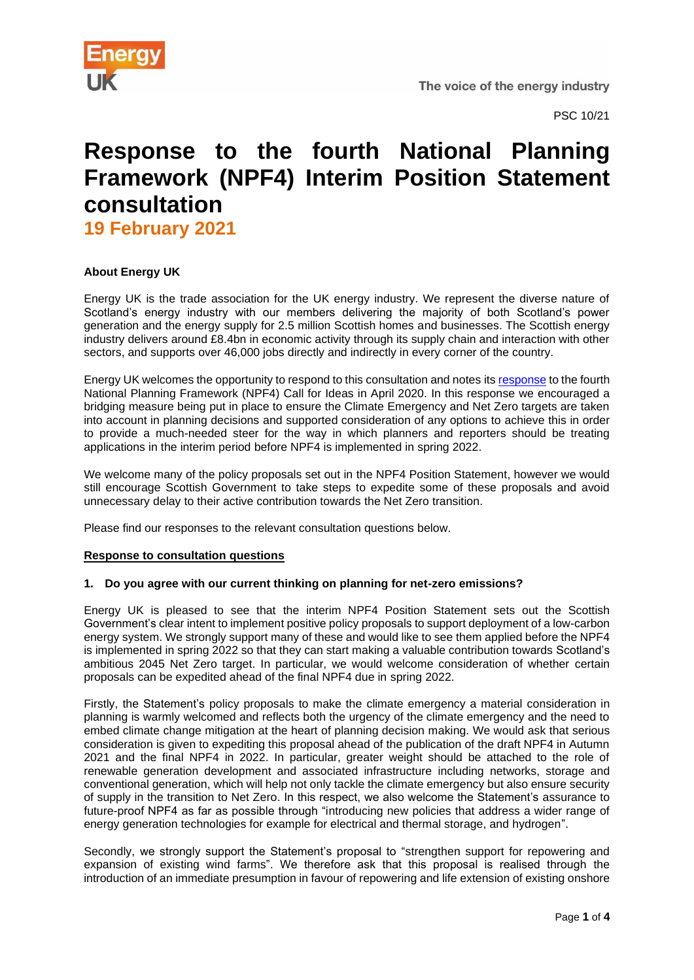

PSC 10/21

# **Response to the fourth National Planning Framework (NPF4) Interim Position Statement consultation**

**19 February 2021**

## **About Energy UK**

Energy UK is the trade association for the UK energy industry. We represent the diverse nature of Scotland's energy industry with our members delivering the majority of both Scotland's power generation and the energy supply for 2.5 million Scottish homes and businesses. The Scottish energy industry delivers around £8.4bn in economic activity through its supply chain and interaction with other sectors, and supports over 46,000 jobs directly and indirectly in every corner of the country.

Energy UK welcomes the opportunity to respond to this consultation and notes it[s response](https://www.energy-uk.org.uk/publication.html?task=file.download&id=7496) to the fourth National Planning Framework (NPF4) Call for Ideas in April 2020. In this response we encouraged a bridging measure being put in place to ensure the Climate Emergency and Net Zero targets are taken into account in planning decisions and supported consideration of any options to achieve this in order to provide a much-needed steer for the way in which planners and reporters should be treating applications in the interim period before NPF4 is implemented in spring 2022.

We welcome many of the policy proposals set out in the NPF4 Position Statement, however we would still encourage Scottish Government to take steps to expedite some of these proposals and avoid unnecessary delay to their active contribution towards the Net Zero transition.

Please find our responses to the relevant consultation questions below.

### **Response to consultation questions**

### **1. Do you agree with our current thinking on planning for net-zero emissions?**

Energy UK is pleased to see that the interim NPF4 Position Statement sets out the Scottish Government's clear intent to implement positive policy proposals to support deployment of a low-carbon energy system. We strongly support many of these and would like to see them applied before the NPF4 is implemented in spring 2022 so that they can start making a valuable contribution towards Scotland's ambitious 2045 Net Zero target. In particular, we would welcome consideration of whether certain proposals can be expedited ahead of the final NPF4 due in spring 2022.

Firstly, the Statement's policy proposals to make the climate emergency a material consideration in planning is warmly welcomed and reflects both the urgency of the climate emergency and the need to embed climate change mitigation at the heart of planning decision making. We would ask that serious consideration is given to expediting this proposal ahead of the publication of the draft NPF4 in Autumn 2021 and the final NPF4 in 2022. In particular, greater weight should be attached to the role of renewable generation development and associated infrastructure including networks, storage and conventional generation, which will help not only tackle the climate emergency but also ensure security of supply in the transition to Net Zero. In this respect, we also welcome the Statement's assurance to future-proof NPF4 as far as possible through "introducing new policies that address a wider range of energy generation technologies for example for electrical and thermal storage, and hydrogen".

Secondly, we strongly support the Statement's proposal to "strengthen support for repowering and expansion of existing wind farms". We therefore ask that this proposal is realised through the introduction of an immediate presumption in favour of repowering and life extension of existing onshore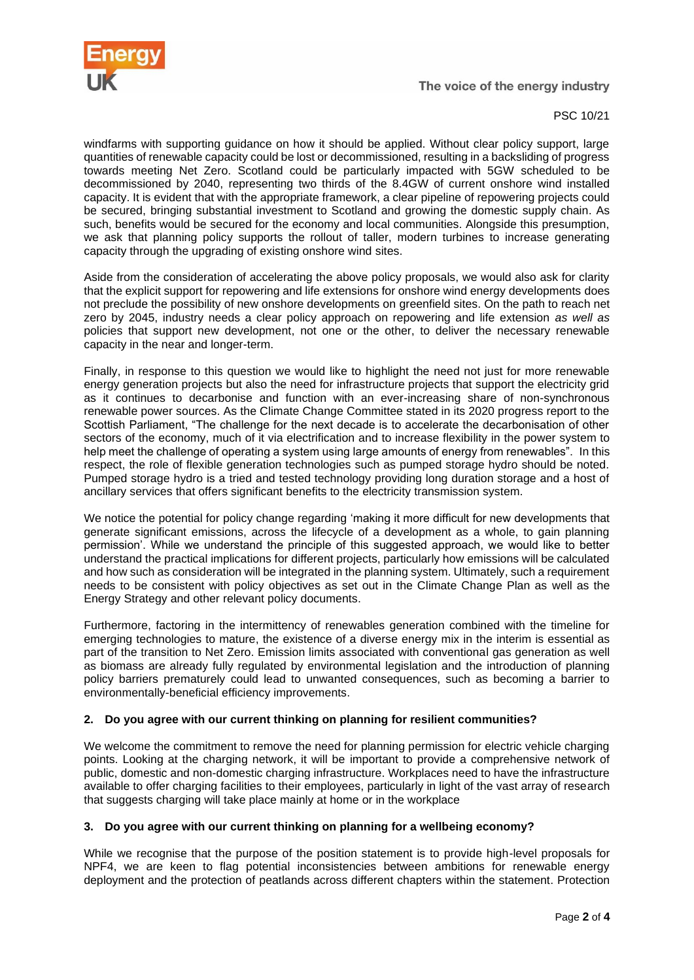

The voice of the energy industry

PSC 10/21

windfarms with supporting guidance on how it should be applied. Without clear policy support, large quantities of renewable capacity could be lost or decommissioned, resulting in a backsliding of progress towards meeting Net Zero. Scotland could be particularly impacted with 5GW scheduled to be decommissioned by 2040, representing two thirds of the 8.4GW of current onshore wind installed capacity. It is evident that with the appropriate framework, a clear pipeline of repowering projects could be secured, bringing substantial investment to Scotland and growing the domestic supply chain. As such, benefits would be secured for the economy and local communities. Alongside this presumption, we ask that planning policy supports the rollout of taller, modern turbines to increase generating capacity through the upgrading of existing onshore wind sites.

Aside from the consideration of accelerating the above policy proposals, we would also ask for clarity that the explicit support for repowering and life extensions for onshore wind energy developments does not preclude the possibility of new onshore developments on greenfield sites. On the path to reach net zero by 2045, industry needs a clear policy approach on repowering and life extension *as well as* policies that support new development, not one or the other, to deliver the necessary renewable capacity in the near and longer-term.

Finally, in response to this question we would like to highlight the need not just for more renewable energy generation projects but also the need for infrastructure projects that support the electricity grid as it continues to decarbonise and function with an ever-increasing share of non-synchronous renewable power sources. As the Climate Change Committee stated in its 2020 progress report to the Scottish Parliament, "The challenge for the next decade is to accelerate the decarbonisation of other sectors of the economy, much of it via electrification and to increase flexibility in the power system to help meet the challenge of operating a system using large amounts of energy from renewables". In this respect, the role of flexible generation technologies such as pumped storage hydro should be noted. Pumped storage hydro is a tried and tested technology providing long duration storage and a host of ancillary services that offers significant benefits to the electricity transmission system.

We notice the potential for policy change regarding 'making it more difficult for new developments that generate significant emissions, across the lifecycle of a development as a whole, to gain planning permission'. While we understand the principle of this suggested approach, we would like to better understand the practical implications for different projects, particularly how emissions will be calculated and how such as consideration will be integrated in the planning system. Ultimately, such a requirement needs to be consistent with policy objectives as set out in the Climate Change Plan as well as the Energy Strategy and other relevant policy documents.

Furthermore, factoring in the intermittency of renewables generation combined with the timeline for emerging technologies to mature, the existence of a diverse energy mix in the interim is essential as part of the transition to Net Zero. Emission limits associated with conventional gas generation as well as biomass are already fully regulated by environmental legislation and the introduction of planning policy barriers prematurely could lead to unwanted consequences, such as becoming a barrier to environmentally-beneficial efficiency improvements.

# **2. Do you agree with our current thinking on planning for resilient communities?**

We welcome the commitment to remove the need for planning permission for electric vehicle charging points. Looking at the charging network, it will be important to provide a comprehensive network of public, domestic and non-domestic charging infrastructure. Workplaces need to have the infrastructure available to offer charging facilities to their employees, particularly in light of the vast array of research that suggests charging will take place mainly at home or in the workplace

### **3. Do you agree with our current thinking on planning for a wellbeing economy?**

While we recognise that the purpose of the position statement is to provide high-level proposals for NPF4, we are keen to flag potential inconsistencies between ambitions for renewable energy deployment and the protection of peatlands across different chapters within the statement. Protection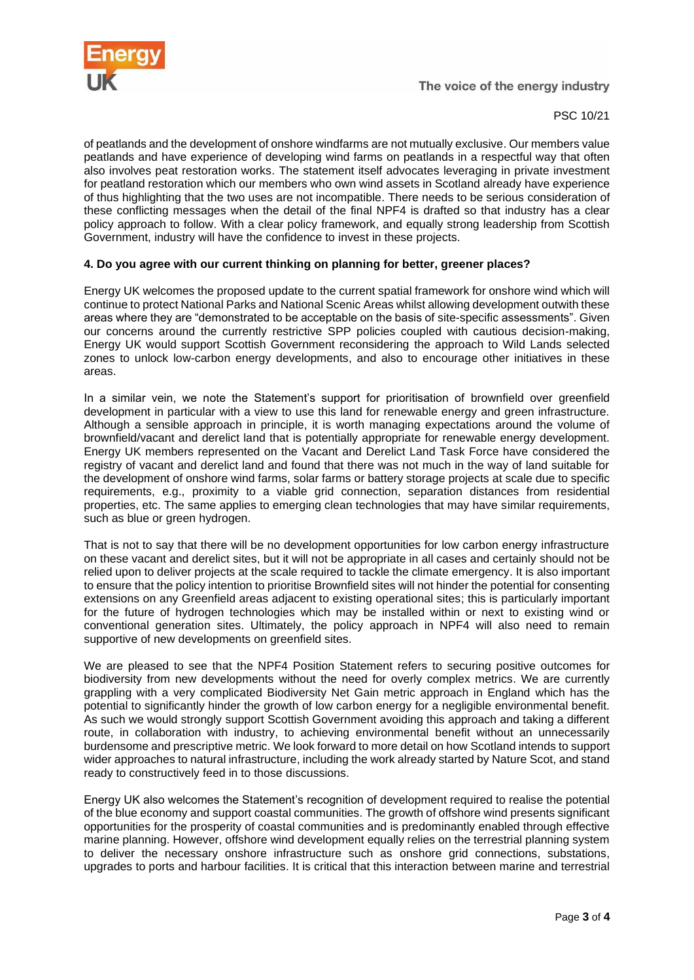

The voice of the energy industry

PSC 10/21

of peatlands and the development of onshore windfarms are not mutually exclusive. Our members value peatlands and have experience of developing wind farms on peatlands in a respectful way that often also involves peat restoration works. The statement itself advocates leveraging in private investment for peatland restoration which our members who own wind assets in Scotland already have experience of thus highlighting that the two uses are not incompatible. There needs to be serious consideration of these conflicting messages when the detail of the final NPF4 is drafted so that industry has a clear policy approach to follow. With a clear policy framework, and equally strong leadership from Scottish Government, industry will have the confidence to invest in these projects.

# **4. Do you agree with our current thinking on planning for better, greener places?**

Energy UK welcomes the proposed update to the current spatial framework for onshore wind which will continue to protect National Parks and National Scenic Areas whilst allowing development outwith these areas where they are "demonstrated to be acceptable on the basis of site-specific assessments". Given our concerns around the currently restrictive SPP policies coupled with cautious decision-making, Energy UK would support Scottish Government reconsidering the approach to Wild Lands selected zones to unlock low-carbon energy developments, and also to encourage other initiatives in these areas.

In a similar vein, we note the Statement's support for prioritisation of brownfield over greenfield development in particular with a view to use this land for renewable energy and green infrastructure. Although a sensible approach in principle, it is worth managing expectations around the volume of brownfield/vacant and derelict land that is potentially appropriate for renewable energy development. Energy UK members represented on the Vacant and Derelict Land Task Force have considered the registry of vacant and derelict land and found that there was not much in the way of land suitable for the development of onshore wind farms, solar farms or battery storage projects at scale due to specific requirements, e.g., proximity to a viable grid connection, separation distances from residential properties, etc. The same applies to emerging clean technologies that may have similar requirements, such as blue or green hydrogen.

That is not to say that there will be no development opportunities for low carbon energy infrastructure on these vacant and derelict sites, but it will not be appropriate in all cases and certainly should not be relied upon to deliver projects at the scale required to tackle the climate emergency. It is also important to ensure that the policy intention to prioritise Brownfield sites will not hinder the potential for consenting extensions on any Greenfield areas adjacent to existing operational sites; this is particularly important for the future of hydrogen technologies which may be installed within or next to existing wind or conventional generation sites. Ultimately, the policy approach in NPF4 will also need to remain supportive of new developments on greenfield sites.

We are pleased to see that the NPF4 Position Statement refers to securing positive outcomes for biodiversity from new developments without the need for overly complex metrics. We are currently grappling with a very complicated Biodiversity Net Gain metric approach in England which has the potential to significantly hinder the growth of low carbon energy for a negligible environmental benefit. As such we would strongly support Scottish Government avoiding this approach and taking a different route, in collaboration with industry, to achieving environmental benefit without an unnecessarily burdensome and prescriptive metric. We look forward to more detail on how Scotland intends to support wider approaches to natural infrastructure, including the work already started by Nature Scot, and stand ready to constructively feed in to those discussions.

Energy UK also welcomes the Statement's recognition of development required to realise the potential of the blue economy and support coastal communities. The growth of offshore wind presents significant opportunities for the prosperity of coastal communities and is predominantly enabled through effective marine planning. However, offshore wind development equally relies on the terrestrial planning system to deliver the necessary onshore infrastructure such as onshore grid connections, substations, upgrades to ports and harbour facilities. It is critical that this interaction between marine and terrestrial